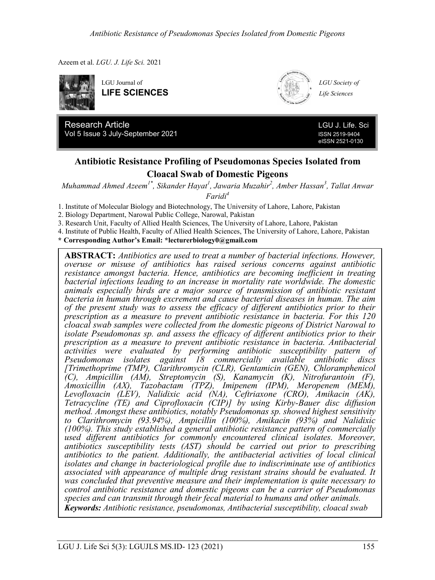Azeem et al. *LGU. J. Life Sci.* 2021





**Research Article LGU J. Life. Sci. LGU J. Life. Sci.** Vol 5 Issue 3 July-September 2021 **ISSN 2519-9404** ISSN 2519-9404

eISSN 2521-0130

## **Antibiotic Resistance Profiling of Pseudomonas Species Isolated from Cloacal Swab of Domestic Pigeons**

Research Article LGU J. Life. Sci *Muhammad Ahmed Azeem1\*, Sikander Hayat<sup>1</sup> , Jawaria Muzahir<sup>2</sup> , Amber Hassan<sup>3</sup> , Tallat Anwar*   $\overline{Y}$ ari $\overline{C}$ *Faridi<sup>4</sup>*

1. Institute of Molecular Biology and Biotechnology, The University of Lahore, Lahore, Pakistan

2. Biology Department, Narowal Public College, Narowal, Pakistan

3. Research Unit, Faculty of Allied Health Sciences, The University of Lahore, Lahore, Pakistan

4. Institute of Public Health, Faculty of Allied Health Sciences, The University of Lahore, Lahore, Pakistan

**\* Corresponding Author's Email: \*lecturerbiology0@gmail.com** 

**ABSTRACT:** *Antibiotics are used to treat a number of bacterial infections. However, overuse or misuse of antibiotics has raised serious concerns against antibiotic resistance amongst bacteria. Hence, antibiotics are becoming inefficient in treating bacterial infections leading to an increase in mortality rate worldwide. The domestic animals especially birds are a major source of transmission of antibiotic resistant bacteria in human through excrement and cause bacterial diseases in human. The aim of the present study was to assess the efficacy of different antibiotics prior to their prescription as a measure to prevent antibiotic resistance in bacteria. For this 120 cloacal swab samples were collected from the domestic pigeons of District Narowal to isolate Pseudomonas sp. and assess the efficacy of different antibiotics prior to their prescription as a measure to prevent antibiotic resistance in bacteria. Antibacterial activities were evaluated by performing antibiotic susceptibility pattern of Pseudomonas isolates against 18 commercially available antibiotic discs [Trimethoprime (TMP), Clarithromycin (CLR), Gentamicin (GEN), Chloramphenicol (C), Ampicillin (AM), Streptomycin (S), Kanamycin (K), Nitrofurantoin (F), Amoxicillin (AX), Tazobactam (TPZ), Imipenem (IPM), Meropenem (MEM), Levofloxacin (LEV), Nalidixic acid (NA), Ceftriaxone (CRO), Amikacin (AK), Tetracycline (TE) and Ciprofloxacin (CIP)] by using Kirby-Bauer disc diffusion method. Amongst these antibiotics, notably Pseudomonas sp. showed highest sensitivity to Clarithromycin (93.94%), Ampicillin (100%), Amikacin (93%) and Nalidixic (100%). This study established a general antibiotic resistance pattern of commercially used different antibiotics for commonly encountered clinical isolates. Moreover, antibiotics susceptibility tests (AST) should be carried out prior to prescribing antibiotics to the patient. Additionally, the antibacterial activities of local clinical isolates and change in bacteriological profile due to indiscriminate use of antibiotics associated with appearance of multiple drug resistant strains should be evaluated. It was concluded that preventive measure and their implementation is quite necessary to control antibiotic resistance and domestic pigeons can be a carrier of Pseudomonas species and can transmit through their fecal material to humans and other animals. Keywords: Antibiotic resistance, pseudomonas, Antibacterial susceptibility, cloacal swab*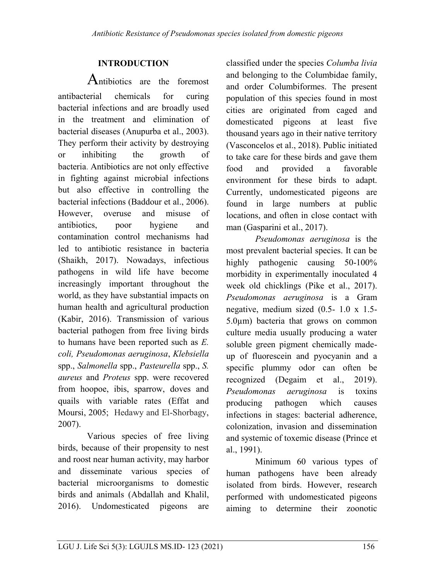# **INTRODUCTION**

Antibiotics are the foremost antibacterial chemicals for curing bacterial infections and are broadly used in the treatment and elimination of bacterial diseases (Anupurba et al., 2003). They perform their activity by destroying or inhibiting the growth of bacteria. Antibiotics are not only effective in fighting against microbial infections but also effective in controlling the bacterial infections (Baddour et al., 2006). However, overuse and misuse of antibiotics, poor hygiene and contamination control mechanisms had led to antibiotic resistance in bacteria [\(Shaikh, 2017\)](#page-6-0). Nowadays, infectious pathogens in wild life have become increasingly important throughout the world, as they have substantial impacts on human health and agricultural production [\(Kabir, 2016\)](#page-8-0). Transmission of various bacterial pathogen from free living birds to humans have been reported such as *E. coli, Pseudomonas aeruginosa*, *Klebsiella* spp., *Salmonella* spp., *Pasteurella* spp., *S. aureus* and *Proteus* spp. were recovered from hoopoe, ibis, sparrow, doves and quails with variable rates (Effat and Moursi, 2005; Hedawy and El-Shorbagy, 2007).

Various species of free living birds, because of their propensity to nest and roost near human activity, may harbor and disseminate various species of bacterial microorganisms to domestic birds and animals [\(Abdallah and Khalil,](#page-6-1) [2016\)](#page-6-1). Undomesticated pigeons are

classified under the species *Columba livia* and belonging to the Columbidae family, and order Columbiformes. The present population of this species found in most cities are originated from caged and domesticated pigeons at least five thousand years ago in their native territory (Vasconcelos et al., 2018). Public initiated to take care for these birds and gave them food and provided a favorable environment for these birds to adapt. Currently, undomesticated pigeons are found in large numbers at public locations, and often in close contact with man [\(Gasparini](#page-7-0) et al., 2017).

*Pseudomonas aeruginosa* is the most prevalent bacterial species. It can be highly pathogenic causing 50-100% morbidity in experimentally inoculated 4 week old chicklings (Pike et al., 2017). *Pseudomonas aeruginosa* is a Gram negative, medium sized (0.5- 1.0 x 1.5- 5.0µm) bacteria that grows on common culture media usually producing a water soluble green pigment chemically madeup of fluorescein and pyocyanin and a specific plummy odor can often be recognized (Degaim et al., 2019). *Pseudomonas aeruginosa* is toxins producing pathogen which causes infections in stages: bacterial adherence, colonization, invasion and dissemination and systemic of toxemic disease (Prince et al., 1991).

Minimum 60 various types of human pathogens have been already isolated from birds. However, research performed with undomesticated pigeons aiming to determine their zoonotic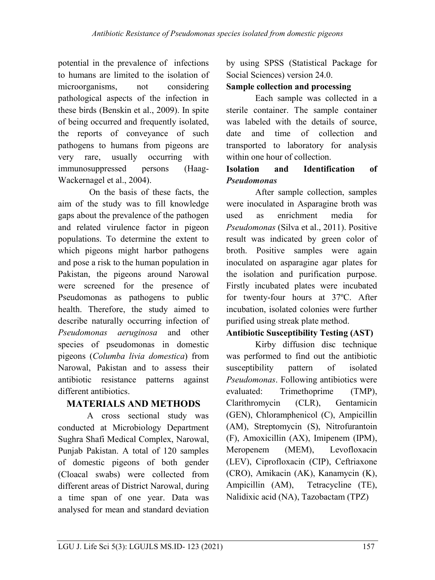potential in the prevalence of infections to humans are limited to the isolation of microorganisms, not considering pathological aspects of the infection in these birds (Benskin et al., 2009). In spite of being occurred and frequently isolated, the reports of conveyance of such pathogens to humans from pigeons are very rare, usually occurring with immunosuppressed persons (Haag-Wackernagel et al., 2004).

On the basis of these facts, the aim of the study was to fill knowledge gaps about the prevalence of the pathogen and related virulence factor in pigeon populations. To determine the extent to which pigeons might harbor pathogens and pose a risk to the human population in Pakistan, the pigeons around Narowal were screened for the presence of Pseudomonas as pathogens to public health. Therefore, the study aimed to describe naturally occurring infection of *Pseudomonas aeruginosa* and other species of pseudomonas in domestic pigeons (*Columba livia domestica*) from Narowal, Pakistan and to assess their antibiotic resistance patterns against different antibiotics.

# **MATERIALS AND METHODS**

A cross sectional study was conducted at Microbiology Department Sughra Shafi Medical Complex, Narowal, Punjab Pakistan. A total of 120 samples of domestic pigeons of both gender (Cloacal swabs) were collected from different areas of District Narowal, during a time span of one year. Data was analysed for mean and standard deviation by using SPSS (Statistical Package for Social Sciences) version 24.0.

## **Sample collection and processing**

Each sample was collected in a sterile container. The sample container was labeled with the details of source, date and time of collection and transported to laboratory for analysis within one hour of collection.

## **Isolation and Identification of**  *Pseudomonas*

After sample collection, samples were inoculated in Asparagine broth was used as enrichment media for *Pseudomonas* (Silva et al., 2011). Positive result was indicated by green color of broth. Positive samples were again inoculated on asparagine agar plates for the isolation and purification purpose. Firstly incubated plates were incubated for twenty-four hours at 37ºC. After incubation, isolated colonies were further purified using streak plate method.

## **Antibiotic Susceptibility Testing (AST)**

Kirby diffusion disc technique was performed to find out the antibiotic susceptibility pattern of isolated *Pseudomonas*. Following antibiotics were evaluated: Trimethoprime (TMP), Clarithromycin (CLR), Gentamicin (GEN), Chloramphenicol (C), Ampicillin (AM), Streptomycin (S), Nitrofurantoin (F), Amoxicillin (AX), Imipenem (IPM), Meropenem (MEM), Levofloxacin (LEV), Ciprofloxacin (CIP), Ceftriaxone (CRO), Amikacin (AK), Kanamycin (K), Ampicillin (AM), Tetracycline (TE), Nalidixic acid (NA), Tazobactam (TPZ)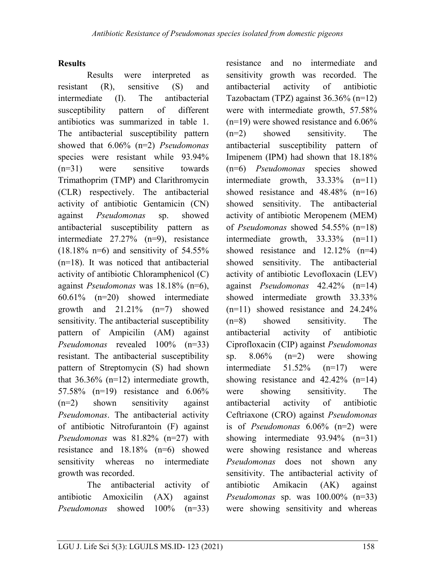#### **Results**

Results were interpreted as resistant (R), sensitive (S) and intermediate (I). The antibacterial susceptibility pattern of different antibiotics was summarized in table 1. The antibacterial susceptibility pattern showed that 6.06% (n=2) *Pseudomonas* species were resistant while 93.94% (n=31) were sensitive towards Trimathoprim (TMP) and Clarithromycin (CLR) respectively. The antibacterial activity of antibiotic Gentamicin (CN) against *Pseudomonas* sp. showed antibacterial susceptibility pattern as intermediate 27.27% (n=9), resistance  $(18.18\% \text{ n=6})$  and sensitivity of 54.55% (n=18). It was noticed that antibacterial activity of antibiotic Chloramphenicol (C) against *Pseudomonas* was 18.18% (n=6), 60.61% (n=20) showed intermediate growth and 21.21% (n=7) showed sensitivity. The antibacterial susceptibility pattern of Ampicilin (AM) against *Pseudomonas* revealed 100% (n=33) resistant. The antibacterial susceptibility pattern of Streptomycin (S) had shown that 36.36% (n=12) intermediate growth, 57.58% (n=19) resistance and 6.06% (n=2) shown sensitivity against *Pseudomonas*. The antibacterial activity of antibiotic Nitrofurantoin (F) against *Pseudomonas* was 81.82% (n=27) with resistance and 18.18% (n=6) showed sensitivity whereas no intermediate growth was recorded.

The antibacterial activity of antibiotic Amoxicilin (AX) against *Pseudomonas* showed 100% (n=33) resistance and no intermediate and sensitivity growth was recorded. The antibacterial activity of antibiotic Tazobactam (TPZ) against 36.36% (n=12) were with intermediate growth, 57.58% (n=19) were showed resistance and 6.06% (n=2) showed sensitivity. The antibacterial susceptibility pattern of Imipenem (IPM) had shown that 18.18% (n=6) *Pseudomonas* species showed intermediate growth, 33.33% (n=11) showed resistance and 48.48% (n=16) showed sensitivity. The antibacterial activity of antibiotic Meropenem (MEM) of *Pseudomonas* showed 54.55% (n=18) intermediate growth, 33.33% (n=11) showed resistance and 12.12% (n=4) showed sensitivity. The antibacterial activity of antibiotic Levofloxacin (LEV) against *Pseudomonas* 42.42% (n=14) showed intermediate growth 33.33% (n=11) showed resistance and 24.24% (n=8) showed sensitivity. The antibacterial activity of antibiotic Ciprofloxacin (CIP) against *Pseudomonas* sp. 8.06% (n=2) were showing intermediate 51.52% (n=17) were showing resistance and  $42.42\%$  (n=14) were showing sensitivity. The antibacterial activity of antibiotic Ceftriaxone (CRO) against *Pseudomonas* is of *Pseudomonas* 6.06% (n=2) were showing intermediate 93.94% (n=31) were showing resistance and whereas *Pseudomonas* does not shown any sensitivity. The antibacterial activity of antibiotic Amikacin (AK) against *Pseudomonas* sp. was 100.00% (n=33) were showing sensitivity and whereas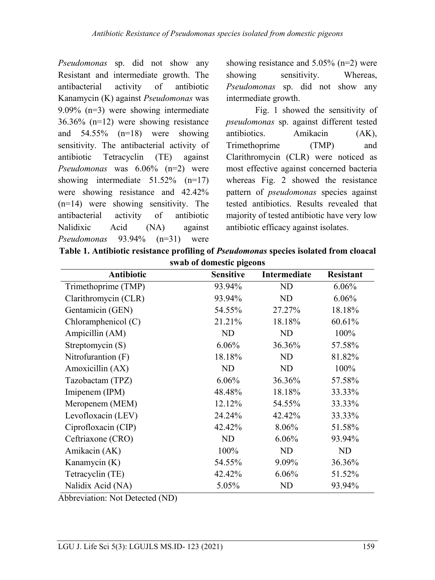*Pseudomonas* sp. did not show any Resistant and intermediate growth. The antibacterial activity of antibiotic Kanamycin (K) against *Pseudomonas* was 9.09% (n=3) were showing intermediate 36.36% (n=12) were showing resistance and 54.55% (n=18) were showing sensitivity. The antibacterial activity of antibiotic Tetracyclin (TE) against *Pseudomonas* was 6.06% (n=2) were showing intermediate 51.52% (n=17) were showing resistance and 42.42% (n=14) were showing sensitivity. The antibacterial activity of antibiotic Nalidixic Acid (NA) against *Pseudomonas* 93.94% (n=31) were

showing resistance and 5.05% (n=2) were showing sensitivity. Whereas, *Pseudomonas* sp. did not show any intermediate growth.

Fig. 1 showed the sensitivity of *pseudomonas* sp. against different tested antibiotics. Amikacin (AK), Trimethoprime (TMP) and Clarithromycin (CLR) were noticed as most effective against concerned bacteria whereas Fig. 2 showed the resistance pattern of *pseudomonas* species against tested antibiotics. Results revealed that majority of tested antibiotic have very low antibiotic efficacy against isolates.

| Table 1. Antibiotic resistance profiling of <i>Pseudomonas</i> species isolated from cloacal |  |
|----------------------------------------------------------------------------------------------|--|
| swab of domestic pigeons                                                                     |  |

| Antibiotic           | <b>Sensitive</b> | Intermediate | <b>Resistant</b> |
|----------------------|------------------|--------------|------------------|
| Trimethoprime (TMP)  | 93.94%           | ND           | 6.06%            |
| Clarithromycin (CLR) | 93.94%           | ND           | 6.06%            |
| Gentamicin (GEN)     | 54.55%           | 27.27%       | 18.18%           |
| Chloramphenicol (C)  | 21.21%           | 18.18%       | 60.61%           |
| Ampicillin (AM)      | ND               | ND           | 100%             |
| Streptomycin (S)     | 6.06%            | 36.36%       | 57.58%           |
| Nitrofurantion (F)   | 18.18%           | ND           | 81.82%           |
| Amoxicillin (AX)     | ND               | ND           | 100%             |
| Tazobactam (TPZ)     | 6.06%            | 36.36%       | 57.58%           |
| Imipenem (IPM)       | 48.48%           | 18.18%       | 33.33%           |
| Meropenem (MEM)      | 12.12%           | 54.55%       | 33.33%           |
| Levofloxacin (LEV)   | 24.24%           | 42.42%       | 33.33%           |
| Ciprofloxacin (CIP)  | 42.42%           | 8.06%        | 51.58%           |
| Ceftriaxone (CRO)    | ND               | 6.06%        | 93.94%           |
| Amikacin (AK)        | 100%             | ND           | ND               |
| Kanamycin (K)        | 54.55%           | 9.09%        | 36.36%           |
| Tetracyclin (TE)     | 42.42%           | 6.06%        | 51.52%           |
| Nalidix Acid (NA)    | 5.05%            | ND           | 93.94%           |

Abbreviation: Not Detected (ND)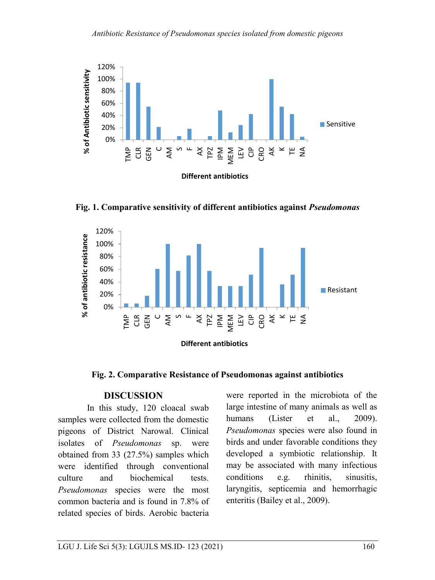

**Fig. 1. Comparative sensitivity of different antibiotics against** *Pseudomonas*



**Fig. 2. Comparative Resistance of Pseudomonas against antibiotics**

#### **DISCUSSION**

In this study, 120 cloacal swab samples were collected from the domestic pigeons of District Narowal. Clinical isolates of *Pseudomonas* sp. were obtained from 33 (27.5%) samples which were identified through conventional culture and biochemical tests. *Pseudomonas* species were the most common bacteria and is found in 7.8% of related species of birds. Aerobic bacteria were reported in the microbiota of the large intestine of many animals as well as humans (Lister et al., 2009). *Pseudomonas* species were also found in birds and under favorable conditions they developed a symbiotic relationship. It may be associated with many infectious conditions e.g. rhinitis, sinusitis, laryngitis, septicemia and hemorrhagic enteritis (Bailey et al., 2009).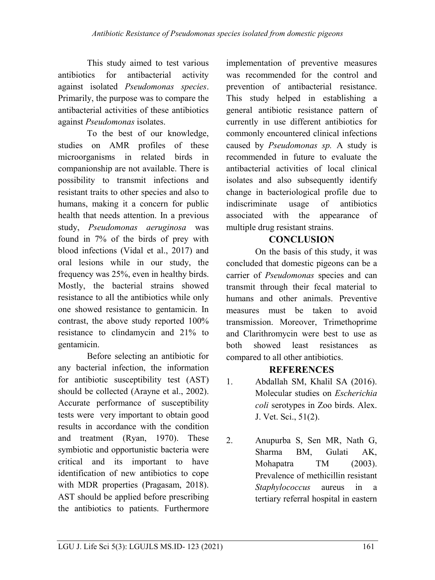This study aimed to test various antibiotics for antibacterial activity against isolated *Pseudomonas species*. Primarily, the purpose was to compare the antibacterial activities of these antibiotics against *Pseudomonas* isolates.

To the best of our knowledge, studies on AMR profiles of these microorganisms in related birds in companionship are not available. There is possibility to transmit infections and resistant traits to other species and also to humans, making it a concern for public health that needs attention. In a previous study, *Pseudomonas aeruginosa* was found in 7% of the birds of prey with blood infections (Vidal et al., 2017) and oral lesions while in our study, the frequency was 25%, even in healthy birds. Mostly, the bacterial strains showed resistance to all the antibiotics while only one showed resistance to gentamicin. In contrast, the above study reported 100% resistance to clindamycin and 21% to gentamicin.

Before selecting an antibiotic for any bacterial infection, the information for antibiotic susceptibility test (AST) should be collected [\(Arayne](#page-6-0) et al., 2002). Accurate performance of susceptibility tests were very important to obtain good results in accordance with the condition and treatment (Ryan, 1970). These symbiotic and opportunistic bacteria were critical and its important to have identification of new antibiotics to cope with MDR properties (Pragasam, 2018). AST should be applied before prescribing the antibiotics to patients. Furthermore implementation of preventive measures was recommended for the control and prevention of antibacterial resistance. This study helped in establishing a general antibiotic resistance pattern of currently in use different antibiotics for commonly encountered clinical infections caused by *Pseudomonas sp.* A study is recommended in future to evaluate the antibacterial activities of local clinical isolates and also subsequently identify change in bacteriological profile due to indiscriminate usage of antibiotics associated with the appearance of multiple drug resistant strains.

## **CONCLUSION**

On the basis of this study, it was concluded that domestic pigeons can be a carrier of *Pseudomonas* species and can transmit through their fecal material to humans and other animals. Preventive measures must be taken to avoid transmission. Moreover, Trimethoprime and Clarithromycin were best to use as both showed least resistances as compared to all other antibiotics.

## <span id="page-6-0"></span>**REFERENCES**

- <span id="page-6-1"></span>1. Abdallah SM, Khalil SA (2016). Molecular studies on *Escherichia coli* serotypes in Zoo birds. Alex. J. Vet. Sci., 51(2).
- 2. Anupurba S, Sen MR, Nath G, Sharma BM, Gulati AK, Mohapatra TM (2003). Prevalence of methicillin resistant *Staphylococcus* aureus in a tertiary referral hospital in eastern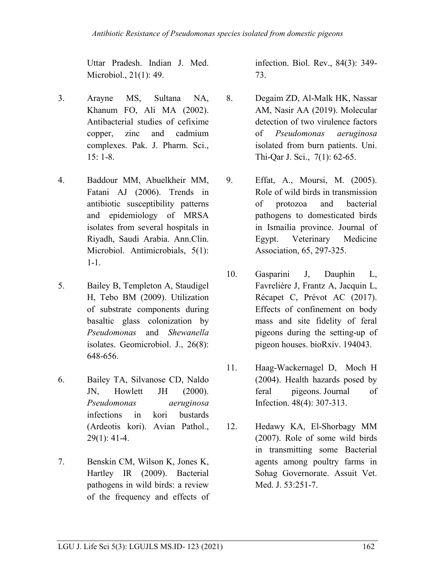Uttar Pradesh. Indian J. Med. Microbiol., 21(1): 49.

- 3. Arayne MS, Sultana NA, Khanum FO, Ali MA (2002). Antibacterial studies of cefixime copper, zinc and cadmium complexes. Pak. J. Pharm. Sci.,  $15: 1-8.$
- 4. Baddour MM, Abuelkheir MM, Fatani AJ (2006). Trends in antibiotic susceptibility patterns and epidemiology of MRSA isolates from several hospitals in Riyadh, Saudi Arabia. Ann.Clin. Microbiol. Antimicrobials, 5(1): 1-1.
- 5. Bailey B, Templeton A, Staudigel H, Tebo BM (2009). Utilization of substrate components during basaltic glass colonization by *Pseudomonas* and *Shewanella* isolates. Geomicrobiol. J., 26(8): 648-656.
- 6. Bailey TA, Silvanose CD, Naldo JN, Howlett JH (2000). *Pseudomonas aeruginosa* infections in kori bustards (Ardeotis kori). Avian Pathol., 29(1): 41-4.
- 7. Benskin CM, Wilson K, Jones K, Hartley IR (2009). Bacterial pathogens in wild birds: a review of the frequency and effects of

infection. Biol. Rev., 84(3): 349- 73.

- 8. Degaim ZD, Al-Malk HK, Nassar AM, Nasir AA (2019). Molecular detection of two virulence factors of *Pseudomonas aeruginosa* isolated from burn patients. Uni. Thi-Qar J. Sci., 7(1): 62-65.
- 9. Effat, A., Moursi, M. (2005). Role of wild birds in transmission of protozoa and bacterial pathogens to domesticated birds in Ismailia province. Journal of Egypt. Veterinary Medicine Association, 65, 297-325.
- <span id="page-7-0"></span>10. Gasparini J, Dauphin L, Favrelière J, Frantz A, Jacquin L, Récapet C, Prévot AC (2017). Effects of confinement on body mass and site fidelity of feral pigeons during the setting-up of pigeon houses. bioRxiv. 194043.
- 11. Haag-Wackernagel D, Moch H (2004). Health hazards posed by feral pigeons. Journal of Infection. 48(4): 307-313.
- 12. Hedawy KA, El-Shorbagy MM (2007). Role of some wild birds in transmitting some Bacterial agents among poultry farms in Sohag Governorate. Assuit Vet. Med. J. 53:251-7.